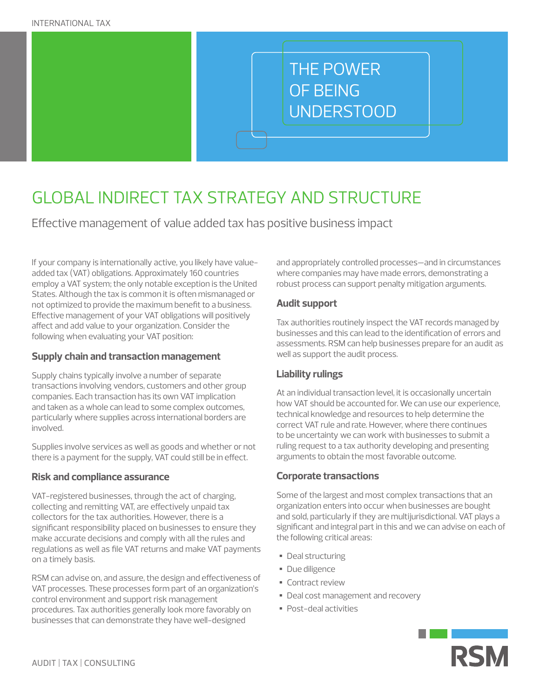# THE POWER OF BEING UNDERSTOOD

## GLOBAL INDIRECT TAX STRATEGY AND STRUCTURE

Effective management of value added tax has positive business impact

If your company is internationally active, you likely have valueadded tax (VAT) obligations. Approximately 160 countries employ a VAT system; the only notable exception is the United States. Although the tax is common it is often mismanaged or not optimized to provide the maximum benefit to a business. Effective management of your VAT obligations will positively affect and add value to your organization. Consider the following when evaluating your VAT position:

#### **Supply chain and transaction management**

Supply chains typically involve a number of separate transactions involving vendors, customers and other group companies. Each transaction has its own VAT implication and taken as a whole can lead to some complex outcomes, particularly where supplies across international borders are involved.

Supplies involve services as well as goods and whether or not there is a payment for the supply, VAT could still be in effect.

#### **Risk and compliance assurance**

VAT-registered businesses, through the act of charging, collecting and remitting VAT, are effectively unpaid tax collectors for the tax authorities. However, there is a significant responsibility placed on businesses to ensure they make accurate decisions and comply with all the rules and regulations as well as file VAT returns and make VAT payments on a timely basis.

RSM can advise on, and assure, the design and effectiveness of VAT processes. These processes form part of an organization's control environment and support risk management procedures. Tax authorities generally look more favorably on businesses that can demonstrate they have well-designed

and appropriately controlled processes—and in circumstances where companies may have made errors, demonstrating a robust process can support penalty mitigation arguments.

#### **Audit support**

Tax authorities routinely inspect the VAT records managed by businesses and this can lead to the identification of errors and assessments. RSM can help businesses prepare for an audit as well as support the audit process.

#### **Liability rulings**

At an individual transaction level, it is occasionally uncertain how VAT should be accounted for. We can use our experience, technical knowledge and resources to help determine the correct VAT rule and rate. However, where there continues to be uncertainty we can work with businesses to submit a ruling request to a tax authority developing and presenting arguments to obtain the most favorable outcome.

#### **Corporate transactions**

Some of the largest and most complex transactions that an organization enters into occur when businesses are bought and sold, particularly if they are multijurisdictional. VAT plays a significant and integral part in this and we can advise on each of the following critical areas:

- Deal structuring
- Due diligence
- Contract review
- Deal cost management and recovery
- Post-deal activities